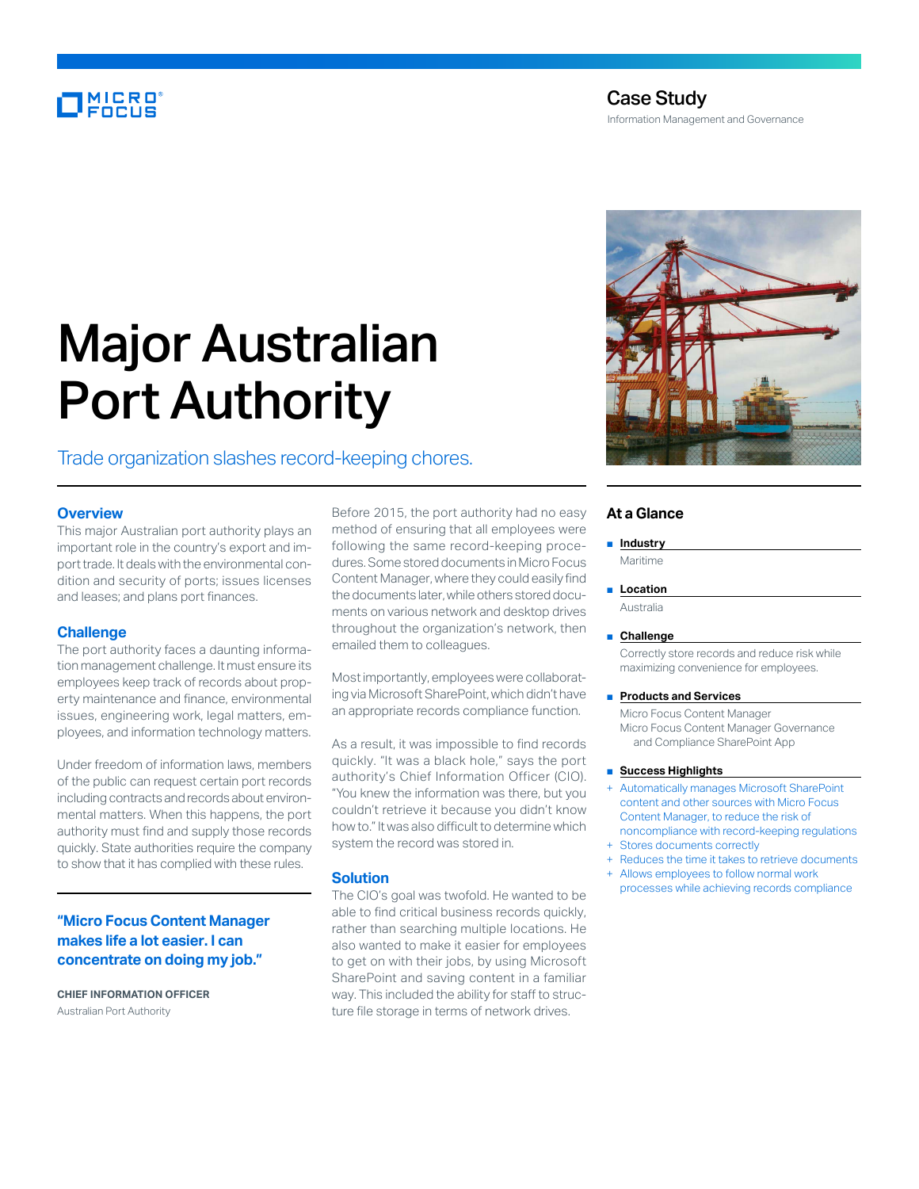# MICRO<sup>®</sup><br>FOCUS

# Case Study

Information Management and Governance

# Major Australian Port Authority

## Trade organization slashes record-keeping chores.

#### **Overview**

This major Australian port authority plays an important role in the country's export and import trade. It deals with the environmental condition and security of ports; issues licenses and leases; and plans port finances.

#### **Challenge**

The port authority faces a daunting information management challenge. It must ensure its employees keep track of records about property maintenance and finance, environmental issues, engineering work, legal matters, employees, and information technology matters.

Under freedom of information laws, members of the public can request certain port records including contracts and records about environmental matters. When this happens, the port authority must find and supply those records quickly. State authorities require the company to show that it has complied with these rules.

#### **"Micro Focus Content Manager makes life a lot easier. I can concentrate on doing my job."**

**CHIEF INFORMATION OFFICER**  Australian Port Authority

Before 2015, the port authority had no easy method of ensuring that all employees were following the same record-keeping procedures. Some stored documents in Micro Focus Content Manager, where they could easily find the documents later, while others stored documents on various network and desktop drives throughout the organization's network, then emailed them to colleagues.

Most importantly, employees were collaborating via Microsoft SharePoint, which didn't have an appropriate records compliance function.

As a result, it was impossible to find records quickly. "It was a black hole," says the port authority's Chief Information Officer (CIO). "You knew the information was there, but you couldn't retrieve it because you didn't know how to." It was also difficult to determine which system the record was stored in.

#### **Solution**

The CIO's goal was twofold. He wanted to be able to find critical business records quickly, rather than searching multiple locations. He also wanted to make it easier for employees to get on with their jobs, by using Microsoft SharePoint and saving content in a familiar way. This included the ability for staff to structure file storage in terms of network drives.



#### **At a Glance**

■ **Industry** Maritime

■ **Location** 

Australia

#### ■ **Challenge**

Correctly store records and reduce risk while maximizing convenience for employees.

#### ■ **Products and Services**

Micro Focus Content Manager Micro Focus Content Manager Governance and Compliance SharePoint App

#### ■ **Success Highlights**

- Automatically manages Microsoft SharePoint content and other sources with Micro Focus Content Manager, to reduce the risk of noncompliance with record-keeping regulations + Stores documents correctly
- 
- Reduces the time it takes to retrieve documents + Allows employees to follow normal work
- processes while achieving records compliance